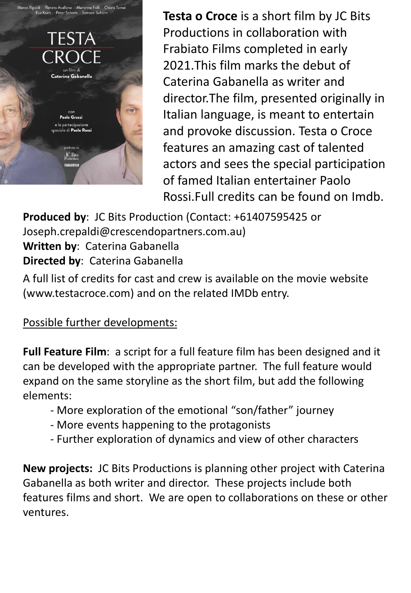

**Testa o Croce** is a short film by JC Bits Productions in collaboration with Frabiato Films completed in early 2021.This film marks the debut of Caterina Gabanella as writer and director.The film, presented originally in Italian language, is meant to entertain and provoke discussion. Testa o Croce features an amazing cast of talented actors and sees the special participation of famed Italian entertainer Paolo Rossi.Full credits can be found on Imdb.

**Produced by**: JC Bits Production (Contact: +61407595425 or Joseph.crepaldi@crescendopartners.com.au) **Written by**: Caterina Gabanella **Directed by**: Caterina Gabanella

A full list of credits for cast and crew is available on the movie website (www.testacroce.com) and on the related IMDb entry.

Possible further developments:

**Full Feature Film**: a script for a full feature film has been designed and it can be developed with the appropriate partner. The full feature would expand on the same storyline as the short film, but add the following elements:

- More exploration of the emotional "son/father" journey
- More events happening to the protagonists
- Further exploration of dynamics and view of other characters

**New projects:** JC Bits Productions is planning other project with Caterina Gabanella as both writer and director. These projects include both features films and short. We are open to collaborations on these or other ventures.